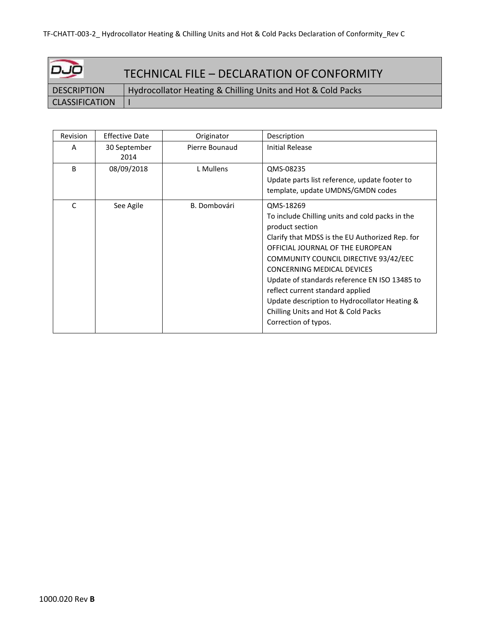| وںدا                  | TECHNICAL FILE - DECLARATION OF CONFORMITY                  |
|-----------------------|-------------------------------------------------------------|
| <b>DESCRIPTION</b>    | Hydrocollator Heating & Chilling Units and Hot & Cold Packs |
| <b>CLASSIFICATION</b> |                                                             |

| Revision | <b>Effective Date</b> | Originator     | Description                                                                                                                                                                                                                                                                                                                                                                                                                                        |
|----------|-----------------------|----------------|----------------------------------------------------------------------------------------------------------------------------------------------------------------------------------------------------------------------------------------------------------------------------------------------------------------------------------------------------------------------------------------------------------------------------------------------------|
| A        | 30 September<br>2014  | Pierre Bounaud | Initial Release                                                                                                                                                                                                                                                                                                                                                                                                                                    |
| B        | 08/09/2018            | L Mullens      | QMS-08235<br>Update parts list reference, update footer to<br>template, update UMDNS/GMDN codes                                                                                                                                                                                                                                                                                                                                                    |
| C        | See Agile             | B. Dombovári   | QMS-18269<br>To include Chilling units and cold packs in the<br>product section<br>Clarify that MDSS is the EU Authorized Rep. for<br>OFFICIAL JOURNAL OF THE EUROPEAN<br>COMMUNITY COUNCIL DIRECTIVE 93/42/EEC<br>CONCERNING MEDICAL DEVICES<br>Update of standards reference EN ISO 13485 to<br>reflect current standard applied<br>Update description to Hydrocollator Heating &<br>Chilling Units and Hot & Cold Packs<br>Correction of typos. |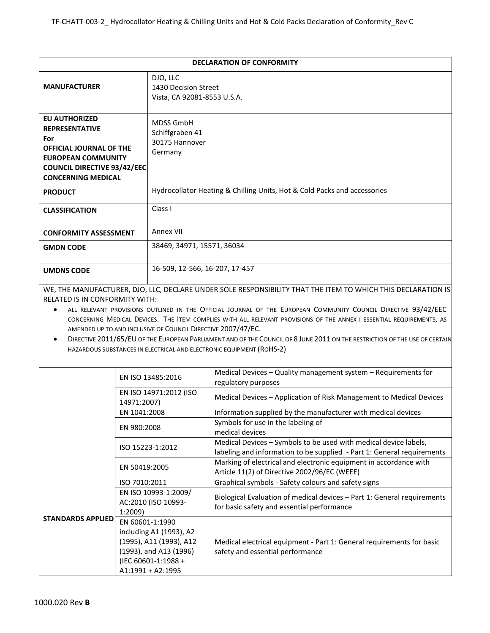|                                                                                                                                                                                 |                                                                                                                                             |                                                                  | <b>DECLARATION OF CONFORMITY</b>                                                                                                                                                                                                                                                                                                                                                                                                                                                                                                                             |  |
|---------------------------------------------------------------------------------------------------------------------------------------------------------------------------------|---------------------------------------------------------------------------------------------------------------------------------------------|------------------------------------------------------------------|--------------------------------------------------------------------------------------------------------------------------------------------------------------------------------------------------------------------------------------------------------------------------------------------------------------------------------------------------------------------------------------------------------------------------------------------------------------------------------------------------------------------------------------------------------------|--|
| <b>MANUFACTURER</b>                                                                                                                                                             |                                                                                                                                             | DJO, LLC<br>1430 Decision Street<br>Vista, CA 92081-8553 U.S.A.  |                                                                                                                                                                                                                                                                                                                                                                                                                                                                                                                                                              |  |
| <b>EU AUTHORIZED</b><br><b>REPRESENTATIVE</b><br>For<br>OFFICIAL JOURNAL OF THE<br><b>EUROPEAN COMMUNITY</b><br><b>COUNCIL DIRECTIVE 93/42/EEC</b><br><b>CONCERNING MEDICAL</b> |                                                                                                                                             | <b>MDSS GmbH</b><br>Schiffgraben 41<br>30175 Hannover<br>Germany |                                                                                                                                                                                                                                                                                                                                                                                                                                                                                                                                                              |  |
| <b>PRODUCT</b>                                                                                                                                                                  |                                                                                                                                             |                                                                  | Hydrocollator Heating & Chilling Units, Hot & Cold Packs and accessories                                                                                                                                                                                                                                                                                                                                                                                                                                                                                     |  |
| <b>CLASSIFICATION</b>                                                                                                                                                           |                                                                                                                                             | Class I                                                          |                                                                                                                                                                                                                                                                                                                                                                                                                                                                                                                                                              |  |
| <b>CONFORMITY ASSESSMENT</b>                                                                                                                                                    |                                                                                                                                             | Annex VII                                                        |                                                                                                                                                                                                                                                                                                                                                                                                                                                                                                                                                              |  |
| <b>GMDN CODE</b>                                                                                                                                                                |                                                                                                                                             | 38469, 34971, 15571, 36034                                       |                                                                                                                                                                                                                                                                                                                                                                                                                                                                                                                                                              |  |
| <b>UMDNS CODE</b>                                                                                                                                                               |                                                                                                                                             | 16-509, 12-566, 16-207, 17-457                                   |                                                                                                                                                                                                                                                                                                                                                                                                                                                                                                                                                              |  |
| <b>RELATED IS IN CONFORMITY WITH:</b>                                                                                                                                           |                                                                                                                                             | AMENDED UP TO AND INCLUSIVE OF COUNCIL DIRECTIVE 2007/47/EC.     | WE, THE MANUFACTURER, DJO, LLC, DECLARE UNDER SOLE RESPONSIBILITY THAT THE ITEM TO WHICH THIS DECLARATION IS<br>ALL RELEVANT PROVISIONS OUTLINED IN THE OFFICIAL JOURNAL OF THE EUROPEAN COMMUNITY COUNCIL DIRECTIVE 93/42/EEC<br>CONCERNING MEDICAL DEVICES. THE ITEM COMPLIES WITH ALL RELEVANT PROVISIONS OF THE ANNEX I ESSENTIAL REQUIREMENTS, AS<br>DIRECTIVE 2011/65/EU OF THE EUROPEAN PARLIAMENT AND OF THE COUNCIL OF 8 JUNE 2011 ON THE RESTRICTION OF THE USE OF CERTAIN<br>HAZARDOUS SUBSTANCES IN ELECTRICAL AND ELECTRONIC EQUIPMENT (ROHS-2) |  |
|                                                                                                                                                                                 | EN ISO 13485:2016                                                                                                                           |                                                                  | Medical Devices - Quality management system - Requirements for<br>regulatory purposes                                                                                                                                                                                                                                                                                                                                                                                                                                                                        |  |
| 14971:2007)                                                                                                                                                                     |                                                                                                                                             | EN ISO 14971:2012 (ISO                                           | Medical Devices - Application of Risk Management to Medical Devices                                                                                                                                                                                                                                                                                                                                                                                                                                                                                          |  |
|                                                                                                                                                                                 | EN 1041:2008                                                                                                                                |                                                                  | Information supplied by the manufacturer with medical devices                                                                                                                                                                                                                                                                                                                                                                                                                                                                                                |  |
| EN 980:2008<br>EN 50419:2005                                                                                                                                                    |                                                                                                                                             |                                                                  | Symbols for use in the labeling of<br>medical devices                                                                                                                                                                                                                                                                                                                                                                                                                                                                                                        |  |
|                                                                                                                                                                                 |                                                                                                                                             | ISO 15223-1:2012                                                 | Medical Devices - Symbols to be used with medical device labels,<br>labeling and information to be supplied - Part 1: General requirements                                                                                                                                                                                                                                                                                                                                                                                                                   |  |
|                                                                                                                                                                                 |                                                                                                                                             |                                                                  | Marking of electrical and electronic equipment in accordance with<br>Article 11(2) of Directive 2002/96/EC (WEEE)                                                                                                                                                                                                                                                                                                                                                                                                                                            |  |
|                                                                                                                                                                                 | ISO 7010:2011                                                                                                                               |                                                                  | Graphical symbols - Safety colours and safety signs                                                                                                                                                                                                                                                                                                                                                                                                                                                                                                          |  |
|                                                                                                                                                                                 | EN ISO 10993-1:2009/<br>AC:2010 (ISO 10993-<br>1:2009)                                                                                      |                                                                  | Biological Evaluation of medical devices - Part 1: General requirements<br>for basic safety and essential performance                                                                                                                                                                                                                                                                                                                                                                                                                                        |  |
| <b>STANDARDS APPLIED</b>                                                                                                                                                        | EN 60601-1:1990<br>including A1 (1993), A2<br>(1995), A11 (1993), A12<br>(1993), and A13 (1996)<br>(IEC 60601-1:1988 +<br>A1:1991 + A2:1995 |                                                                  | Medical electrical equipment - Part 1: General requirements for basic<br>safety and essential performance                                                                                                                                                                                                                                                                                                                                                                                                                                                    |  |